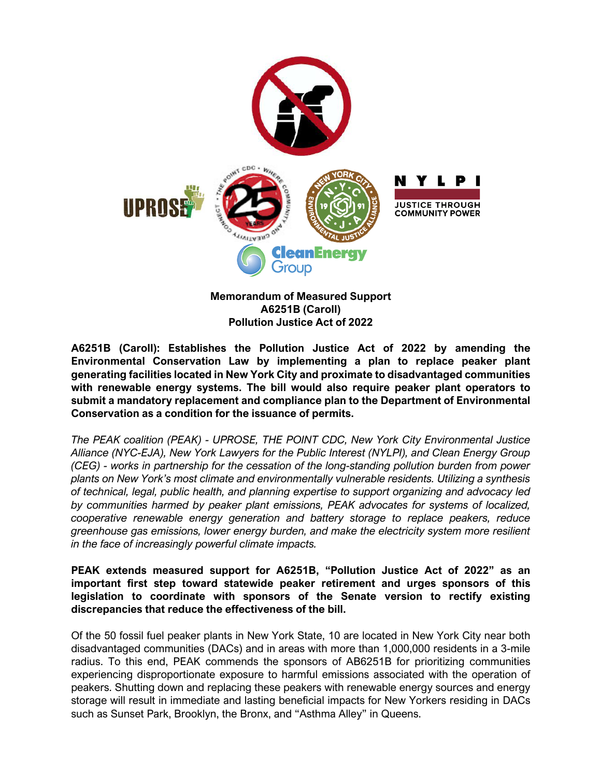

**Memorandum of Measured Support A6251B (Caroll) Pollution Justice Act of 2022**

**A6251B (Caroll): Establishes the Pollution Justice Act of 2022 by amending the Environmental Conservation Law by implementing a plan to replace peaker plant generating facilities located in New York City and proximate to disadvantaged communities with renewable energy systems. The bill would also require peaker plant operators to submit a mandatory replacement and compliance plan to the Department of Environmental Conservation as a condition for the issuance of permits.** 

*The PEAK coalition (PEAK) - UPROSE, THE POINT CDC, New York City Environmental Justice Alliance (NYC-EJA), New York Lawyers for the Public Interest (NYLPI), and Clean Energy Group (CEG) - works in partnership for the cessation of the long-standing pollution burden from power plants on New York's most climate and environmentally vulnerable residents. Utilizing a synthesis of technical, legal, public health, and planning expertise to support organizing and advocacy led by communities harmed by peaker plant emissions, PEAK advocates for systems of localized, cooperative renewable energy generation and battery storage to replace peakers, reduce greenhouse gas emissions, lower energy burden, and make the electricity system more resilient in the face of increasingly powerful climate impacts.*

**PEAK extends measured support for A6251B, "Pollution Justice Act of 2022" as an important first step toward statewide peaker retirement and urges sponsors of this legislation to coordinate with sponsors of the Senate version to rectify existing discrepancies that reduce the effectiveness of the bill.** 

Of the 50 fossil fuel peaker plants in New York State, 10 are located in New York City near both disadvantaged communities (DACs) and in areas with more than 1,000,000 residents in a 3-mile radius. To this end, PEAK commends the sponsors of AB6251B for prioritizing communities experiencing disproportionate exposure to harmful emissions associated with the operation of peakers. Shutting down and replacing these peakers with renewable energy sources and energy storage will result in immediate and lasting beneficial impacts for New Yorkers residing in DACs such as Sunset Park, Brooklyn, the Bronx, and "Asthma Alley" in Queens.